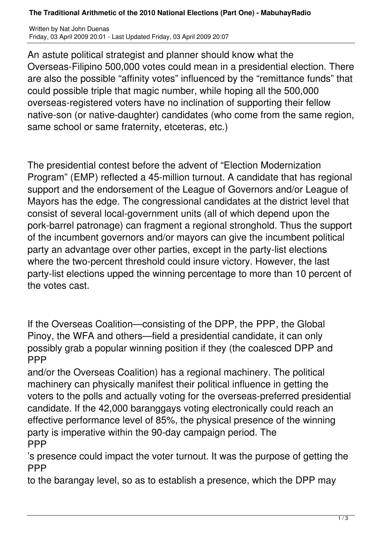## **The Traditional Arithmetic of the 2010 National Elections (Part One) - MabuhayRadio**

Written by Nat John Duenas Friday, 03 April 2009 20:01 - Last Updated Friday, 03 April 2009 20:07

An astute political strategist and planner should know what the Overseas-Filipino 500,000 votes could mean in a presidential election. There are also the possible "affinity votes" influenced by the "remittance funds" that could possible triple that magic number, while hoping all the 500,000 overseas-registered voters have no inclination of supporting their fellow native-son (or native-daughter) candidates (who come from the same region, same school or same fraternity, etceteras, etc.)

The presidential contest before the advent of "Election Modernization Program" (EMP) reflected a 45-million turnout. A candidate that has regional support and the endorsement of the League of Governors and/or League of Mayors has the edge. The congressional candidates at the district level that consist of several local-government units (all of which depend upon the pork-barrel patronage) can fragment a regional stronghold. Thus the support of the incumbent governors and/or mayors can give the incumbent political party an advantage over other parties, except in the party-list elections where the two-percent threshold could insure victory. However, the last party-list elections upped the winning percentage to more than 10 percent of the votes cast.

If the Overseas Coalition—consisting of the DPP, the PPP, the Global Pinoy, the WFA and others—field a presidential candidate, it can only possibly grab a popular winning position if they (the coalesced DPP and PPP

and/or the Overseas Coalition) has a regional machinery. The political machinery can physically manifest their political influence in getting the voters to the polls and actually voting for the overseas-preferred presidential candidate. If the 42,000 baranggays voting electronically could reach an effective performance level of 85%, the physical presence of the winning party is imperative within the 90-day campaign period. The **PPP** 

's presence could impact the voter turnout. It was the purpose of getting the **PPP** 

to the barangay level, so as to establish a presence, which the DPP may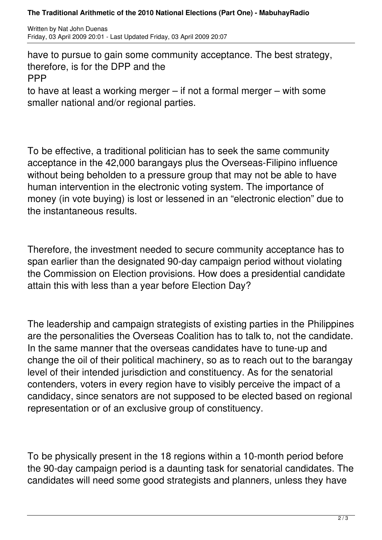## **The Traditional Arithmetic of the 2010 National Elections (Part One) - MabuhayRadio**

Written by Nat John Duenas Friday, 03 April 2009 20:01 - Last Updated Friday, 03 April 2009 20:07

have to pursue to gain some community acceptance. The best strategy, therefore, is for the DPP and the PPP

to have at least a working merger – if not a formal merger – with some smaller national and/or regional parties.

To be effective, a traditional politician has to seek the same community acceptance in the 42,000 barangays plus the Overseas-Filipino influence without being beholden to a pressure group that may not be able to have human intervention in the electronic voting system. The importance of money (in vote buying) is lost or lessened in an "electronic election" due to the instantaneous results.

Therefore, the investment needed to secure community acceptance has to span earlier than the designated 90-day campaign period without violating the Commission on Election provisions. How does a presidential candidate attain this with less than a year before Election Day?

The leadership and campaign strategists of existing parties in the Philippines are the personalities the Overseas Coalition has to talk to, not the candidate. In the same manner that the overseas candidates have to tune-up and change the oil of their political machinery, so as to reach out to the barangay level of their intended jurisdiction and constituency. As for the senatorial contenders, voters in every region have to visibly perceive the impact of a candidacy, since senators are not supposed to be elected based on regional representation or of an exclusive group of constituency.

To be physically present in the 18 regions within a 10-month period before the 90-day campaign period is a daunting task for senatorial candidates. The candidates will need some good strategists and planners, unless they have